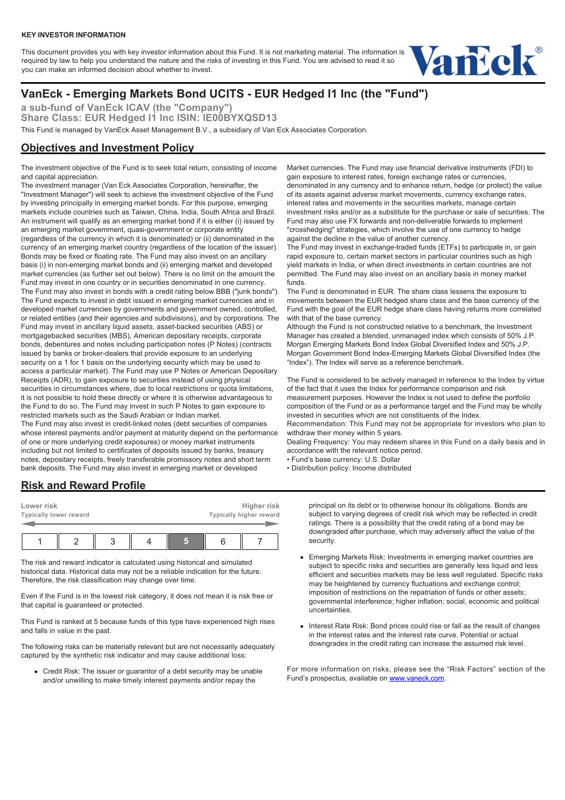#### **KEY INVESTOR INFORMATION**

This document provides you with key investor information about this Fund. It is not marketing material. The information is required by law to help you understand the nature and the risks of investing in this Fund. You are advised to read it so you can make an informed decision about whether to invest.



# **VanEck - Emerging Markets Bond UCITS - EUR Hedged I1 Inc (the "Fund")**

**a sub-fund of VanEck ICAV (the "Company")** Share Class: EUR Hedged I1 Inc ISIN: IE00BYXQSD13 This Fund is managed by VanEck Asset Management B.V., a subsidiary of Van Eck Associates Corporation.

## **Objectives and Investment Policy**

The investment objective of the Fund is to seek total return, consisting of income and capital appreciation.

The investment manager (Van Eck Associates Corporation, hereinafter, the "Investment Manager") will seek to achieve the investment objective of the Fund by investing principally in emerging market bonds. For this purpose, emerging markets include countries such as Taiwan, China, India, South Africa and Brazil. An instrument will qualify as an emerging market bond if it is either (i) issued by an emerging market government, quasi-government or corporate entity (regardless of the currency in which it is denominated) or (ii) denominated in the currency of an emerging market country (regardless of the location of the issuer). Bonds may be fixed or floating rate. The Fund may also invest on an ancillary basis (i) in non-emerging market bonds and (ii) emerging market and developed market currencies (as further set out below). There is no limit on the amount the Fund may invest in one country or in securities denominated in one currency. The Fund may also invest in bonds with a credit rating below BBB ("junk bonds"). The Fund expects to invest in debt issued in emerging market currencies and in developed market currencies by governments and government owned, controlled, or related entities (and their agencies and subdivisions), and by corporations. The Fund may invest in ancillary liquid assets, asset-backed securities (ABS) or mortgagebacked securities (MBS), American depositary receipts, corporate bonds, debentures and notes including participation notes (P Notes) (contracts issued by banks or broker-dealers that provide exposure to an underlying security on a 1 for 1 basis on the underlying security which may be used to access a particular market). The Fund may use P Notes or American Depositary Receipts (ADR), to gain exposure to securities instead of using physical securities in circumstances where, due to local restrictions or quota limitations, it is not possible to hold these directly or where it is otherwise advantageous to the Fund to do so. The Fund may invest in such P Notes to gain exposure to restricted markets such as the Saudi Arabian or Indian market. The Fund may also invest in credit-linked notes (debt securities of companies whose interest payments and/or payment at maturity depend on the performance of one or more underlying credit exposures) or money market instruments including but not limited to certificates of deposits issued by banks, treasury notes, depositary receipts, freely transferable promissory notes and short term

Market currencies. The Fund may use financial derivative instruments (FDI) to gain exposure to interest rates, foreign exchange rates or currencies, denominated in any currency and to enhance return, hedge (or protect) the value of its assets against adverse market movements, currency exchange rates, interest rates and movements in the securities markets, manage certain investment risks and/or as a substitute for the purchase or sale of securities. The Fund may also use FX forwards and non-deliverable forwards to implement "crosshedging" strategies, which involve the use of one currency to hedge against the decline in the value of another currency.

The Fund may invest in exchange-traded funds (ETFs) to participate in, or gain rapid exposure to, certain market sectors in particular countries such as high yield markets in India, or when direct investments in certain countries are not permitted. The Fund may also invest on an ancillary basis in money market funds.

The Fund is denominated in EUR. The share class lessens the exposure to movements between the EUR hedged share class and the base currency of the Fund with the goal of the EUR hedge share class having returns more correlated with that of the base currency.

Although the Fund is not constructed relative to a benchmark, the Investment Manager has created a blended, unmanaged index which consists of 50% J.P. Morgan Emerging Markets Bond Index Global Diversified Index and 50% J.P. Morgan Government Bond Index-Emerging Markets Global Diversified Index (the "Index"). The Index will serve as a reference benchmark.

The Fund is considered to be actively managed in reference to the Index by virtue of the fact that it uses the Index for performance comparison and risk measurement purposes. However the Index is not used to define the portfolio composition of the Fund or as a performance target and the Fund may be wholly invested in securities which are not constituents of the Index. Recommendation: This Fund may not be appropriate for investors who plan to withdraw their money within 5 years.

Dealing Frequency: You may redeem shares in this Fund on a daily basis and in accordance with the relevant notice period.

- Fund's base currency: U.S. Dollar
- Distribution policy: Income distributed

### **Risk and Reward Profile**

| Lower risk<br><b>Typically lower reward</b> |  | Higher risk<br>Typically higher reward |  |  |  |
|---------------------------------------------|--|----------------------------------------|--|--|--|
|                                             |  |                                        |  |  |  |

bank deposits. The Fund may also invest in emerging market or developed

The risk and reward indicator is calculated using historical and simulated historical data. Historical data may not be a reliable indication for the future. Therefore, the risk classification may change over time.

Even if the Fund is in the lowest risk category, it does not mean it is risk free or that capital is guaranteed or protected.

This Fund is ranked at 5 because funds of this type have experienced high rises and falls in value in the past.

The following risks can be materially relevant but are not necessarily adequately captured by the synthetic risk indicator and may cause additional loss:

Credit Risk: The issuer or guarantor of a debt security may be unable and/or unwilling to make timely interest payments and/or repay the

principal on its debt or to otherwise honour its obligations. Bonds are subject to varying degrees of credit risk which may be reflected in credit ratings. There is a possibility that the credit rating of a bond may be downgraded after purchase, which may adversely affect the value of the security.

- Emerging Markets Risk: Investments in emerging market countries are subject to specific risks and securities are generally less liquid and less efficient and securities markets may be less well regulated. Specific risks may be heightened by currency fluctuations and exchange control; imposition of restrictions on the repatriation of funds or other assets; governmental interference; higher inflation; social, economic and political uncertainties.
- Interest Rate Risk: Bond prices could rise or fall as the result of changes in the interest rates and the interest rate curve. Potential or actual downgrades in the credit rating can increase the assumed risk level.

For more information on risks, please see the "Risk Factors" section of the Fund's prospectus, available on [www.vaneck.com.](https://www.vaneck.com)